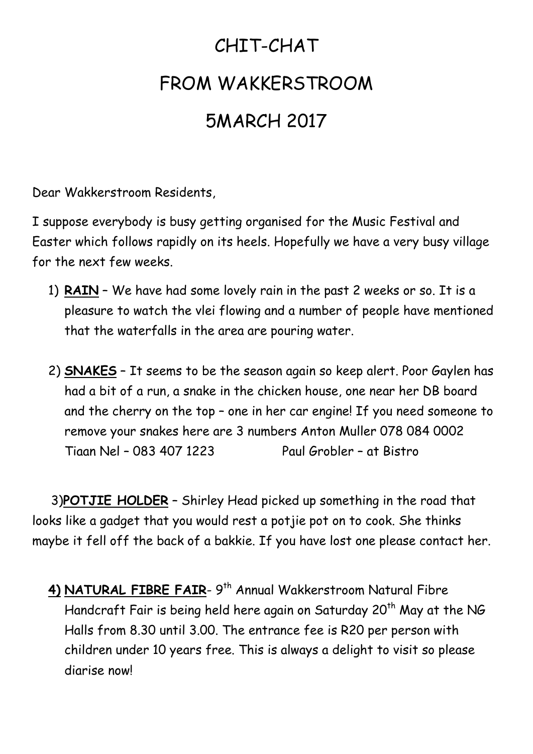## CHIT-CHAT FROM WAKKERSTROOM 5MARCH 2017

Dear Wakkerstroom Residents,

I suppose everybody is busy getting organised for the Music Festival and Easter which follows rapidly on its heels. Hopefully we have a very busy village for the next few weeks.

- 1) **RAIN** We have had some lovely rain in the past 2 weeks or so. It is a pleasure to watch the vlei flowing and a number of people have mentioned that the waterfalls in the area are pouring water.
- 2) **SNAKES** It seems to be the season again so keep alert. Poor Gaylen has had a bit of a run, a snake in the chicken house, one near her DB board and the cherry on the top – one in her car engine! If you need someone to remove your snakes here are 3 numbers Anton Muller 078 084 0002 Tiaan Nel – 083 407 1223 Paul Grobler – at Bistro

 3)**POTJIE HOLDER** – Shirley Head picked up something in the road that looks like a gadget that you would rest a potjie pot on to cook. She thinks maybe it fell off the back of a bakkie. If you have lost one please contact her.

**4) NATURAL FIBRE FAIR**- 9 th Annual Wakkerstroom Natural Fibre Handcraft Fair is being held here again on Saturday 20<sup>th</sup> May at the NG Halls from 8.30 until 3.00. The entrance fee is R20 per person with children under 10 years free. This is always a delight to visit so please diarise now!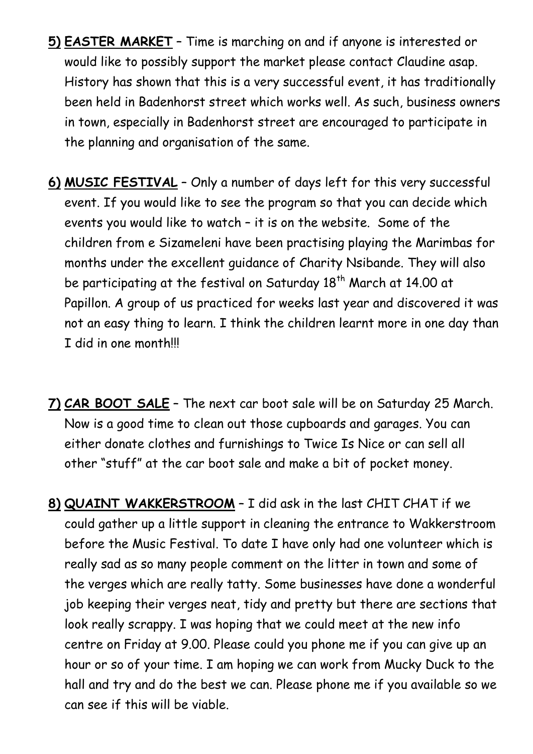- **5) EASTER MARKET** Time is marching on and if anyone is interested or would like to possibly support the market please contact Claudine asap. History has shown that this is a very successful event, it has traditionally been held in Badenhorst street which works well. As such, business owners in town, especially in Badenhorst street are encouraged to participate in the planning and organisation of the same.
- **6) MUSIC FESTIVAL** Only a number of days left for this very successful event. If you would like to see the program so that you can decide which events you would like to watch – it is on the website. Some of the children from e Sizameleni have been practising playing the Marimbas for months under the excellent guidance of Charity Nsibande. They will also be participating at the festival on Saturday 18<sup>th</sup> March at 14.00 at Papillon. A group of us practiced for weeks last year and discovered it was not an easy thing to learn. I think the children learnt more in one day than I did in one month!!!
- **7) CAR BOOT SALE** The next car boot sale will be on Saturday 25 March. Now is a good time to clean out those cupboards and garages. You can either donate clothes and furnishings to Twice Is Nice or can sell all other "stuff" at the car boot sale and make a bit of pocket money.
- **8) QUAINT WAKKERSTROOM** I did ask in the last CHIT CHAT if we could gather up a little support in cleaning the entrance to Wakkerstroom before the Music Festival. To date I have only had one volunteer which is really sad as so many people comment on the litter in town and some of the verges which are really tatty. Some businesses have done a wonderful job keeping their verges neat, tidy and pretty but there are sections that look really scrappy. I was hoping that we could meet at the new info centre on Friday at 9.00. Please could you phone me if you can give up an hour or so of your time. I am hoping we can work from Mucky Duck to the hall and try and do the best we can. Please phone me if you available so we can see if this will be viable.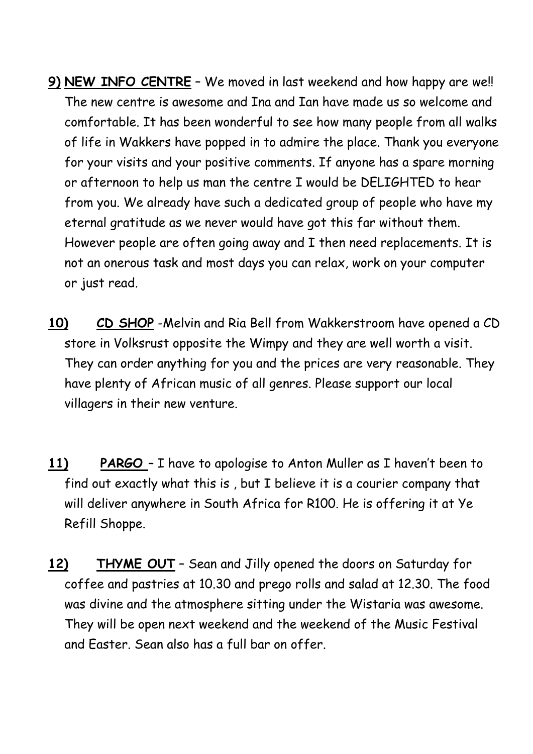- **9) NEW INFO CENTRE** We moved in last weekend and how happy are we!! The new centre is awesome and Ina and Ian have made us so welcome and comfortable. It has been wonderful to see how many people from all walks of life in Wakkers have popped in to admire the place. Thank you everyone for your visits and your positive comments. If anyone has a spare morning or afternoon to help us man the centre I would be DELIGHTED to hear from you. We already have such a dedicated group of people who have my eternal gratitude as we never would have got this far without them. However people are often going away and I then need replacements. It is not an onerous task and most days you can relax, work on your computer or just read.
- **10) CD SHOP** -Melvin and Ria Bell from Wakkerstroom have opened a CD store in Volksrust opposite the Wimpy and they are well worth a visit. They can order anything for you and the prices are very reasonable. They have plenty of African music of all genres. Please support our local villagers in their new venture.
- **11) PARGO**  I have to apologise to Anton Muller as I haven't been to find out exactly what this is , but I believe it is a courier company that will deliver anywhere in South Africa for R100. He is offering it at Ye Refill Shoppe.
- **12) THYME OUT** Sean and Jilly opened the doors on Saturday for coffee and pastries at 10.30 and prego rolls and salad at 12.30. The food was divine and the atmosphere sitting under the Wistaria was awesome. They will be open next weekend and the weekend of the Music Festival and Easter. Sean also has a full bar on offer.